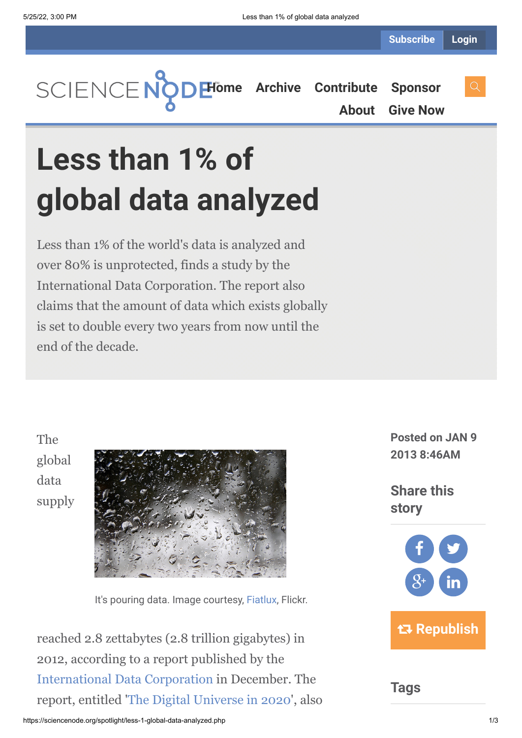**[Home](https://sciencenode.org/) [Archive](https://sciencenode.org/archive/index.php) [Contribute](https://sciencenode.org/contribute/index.php) [Sponsor](https://sciencenode.org/sponsor/index.php)**

**[About](https://sciencenode.org/about/index.php) [Give Now](https://sciencenode.org/donate/index.php)**

# **Less than 1% of global data analyzed**

Less than 1% of the world's data is analyzed and over 80% is unprotected, finds a study by the International Data Corporation. The report also claims that the amount of data which exists globally is set to double every two years from now until the end of the decade.

The global data supply



It's pouring data. Image courtesy, [Fiatlux](http://www.flickr.com/photos/fiatlux/), Flickr.

reached 2.8 zettabytes (2.8 trillion gigabytes) in 2012, according to a report published by the [International Data Corporation](http://www.idc.com/) in December. The report, entitled '[The Digital Universe in 2020](http://www.emc.com/collateral/analyst-reports/idc-the-digital-universe-in-2020.pdf)', also

**Posted on JAN 9 2013 8:46AM**

**Share this story**



**Tags**

https://sciencenode.org/spotlight/less-1-global-data-analyzed.php 1/3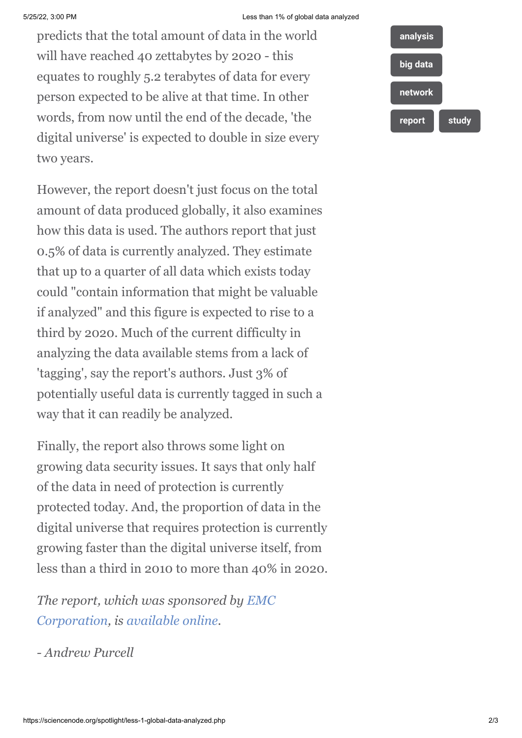#### 5/25/22, 3:00 PM Less than 1% of global data analyzed

predicts that the total amount of data in the world will have reached 40 zettabytes by 2020 - this equates to roughly 5.2 terabytes of data for every person expected to be alive at that time. In other words, from now until the end of the decade, 'the digital universe' is expected to double in size every two years.

However, the report doesn't just focus on the total amount of data produced globally, it also examines how this data is used. The authors report that just 0.5% of data is currently analyzed. They estimate that up to a quarter of all data which exists today could "contain information that might be valuable if analyzed" and this figure is expected to rise to a third by 2020. Much of the current difficulty in analyzing the data available stems from a lack of 'tagging', say the report's authors. Just 3% of potentially useful data is currently tagged in such a way that it can readily be analyzed.

Finally, the report also throws some light on growing data security issues. It says that only half of the data in need of protection is currently protected today. And, the proportion of data in the digital universe that requires protection is currently growing faster than the digital universe itself, from less than a third in 2010 to more than 40% in 2020.

*[The report, which was sponsored by EMC](http://en.wikipedia.org/wiki/EMC_Corporation) Corporation, is [available online.](http://www.emc.com/collateral/analyst-reports/idc-the-digital-universe-in-2020.pdf)*

*- Andrew Purcell*